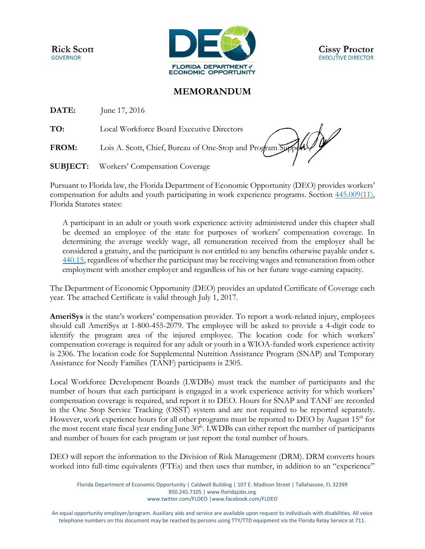**Rick Scott GOVERNOR** 



**Cissy Proctor EXECUTIVE DIRECTOR** 

## **MEMORANDUM**

**DATE:** June 17, 2016

**TO:** Local Workforce Board Executive Directors

FROM: Lois A. Scott, Chief, Bureau of One-Stop and Program Support

**SUBJECT:** Workers' Compensation Coverage

Pursuant to Florida law, the Florida Department of Economic Opportunity (DEO) provides workers' compensation for adults and youth participating in work experience programs. Section [445.009\(11\),](http://www.leg.state.fl.us/statutes/index.cfm?App_mode=Display_Statute&Search_String=&URL=0400-0499/0445/Sections/0445.009.html) Florida Statutes states:

A participant in an adult or youth work experience activity administered under this chapter shall be deemed an employee of the state for purposes of workers' compensation coverage. In determining the average weekly wage, all remuneration received from the employer shall be considered a gratuity, and the participant is not entitled to any benefits otherwise payable under s. [440.15,](http://www.leg.state.fl.us/statutes/index.cfm?App_mode=Display_Statute&Search_String=&URL=0400-0499/0440/Sections/0440.15.html) regardless of whether the participant may be receiving wages and remuneration from other employment with another employer and regardless of his or her future wage-earning capacity.

The Department of Economic Opportunity (DEO) provides an updated Certificate of Coverage each year. The attached Certificate is valid through July 1, 2017.

**AmeriSys** is the state's workers' compensation provider. To report a work-related injury, employees should call AmeriSys at 1-800-455-2079. The employee will be asked to provide a 4-digit code to identify the program area of the injured employee. The location code for which workers' compensation coverage is required for any adult or youth in a WIOA-funded work experience activity is 2306. The location code for Supplemental Nutrition Assistance Program (SNAP) and Temporary Assistance for Needy Families (TANF) participants is 2305.

Local Workforce Development Boards (LWDBs) must track the number of participants and the number of hours that each participant is engaged in a work experience activity for which workers' compensation coverage is required, and report it to DEO. Hours for SNAP and TANF are recorded in the One Stop Service Tracking (OSST) system and are not required to be reported separately. However, work experience hours for all other programs must be reported to DEO by August 15<sup>th</sup> for the most recent state fiscal year ending June  $30<sup>th</sup>$ . LWDBs can either report the number of participants and number of hours for each program or just report the total number of hours.

DEO will report the information to the Division of Risk Management (DRM). DRM converts hours worked into full-time equivalents (FTEs) and then uses that number, in addition to an "experience"

Florida Department of Economic Opportunity | Caldwell Building | 107 E. Madison Street | Tallahassee, FL 32399 850.245.7105 [| www.floridajobs.org](http://www.floridajobs.org/) [www.twitter.com/FLDEO](http://www.twitter.com/FLDEO) |www.facebook.com/FLDEO

An equal opportunity employer/program. Auxiliary aids and service are available upon request to individuals with disabilities. All voice telephone numbers on this document may be reached by persons using TTY/TTD equipment via the Florida Relay Service at 711.